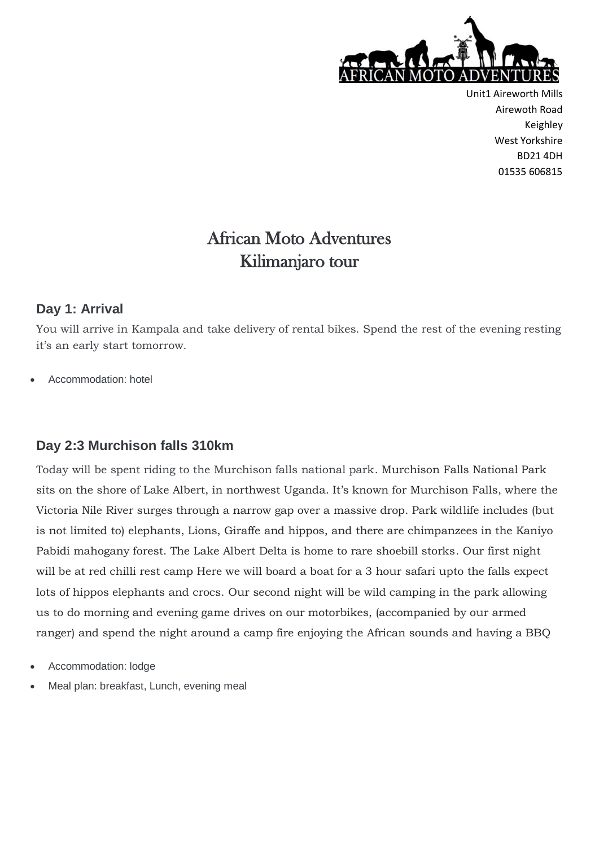

# African Moto Adventures Kilimanjaro tour

#### **Day 1: Arrival**

You will arrive in Kampala and take delivery of rental bikes. Spend the rest of the evening resting it's an early start tomorrow.

Accommodation: hotel

#### **Day 2:3 Murchison falls 310km**

Today will be spent riding to the Murchison falls national park. Murchison Falls National Park sits on the shore of Lake Albert, in northwest Uganda. It's known for Murchison Falls, where the Victoria Nile River surges through a narrow gap over a massive drop. Park wildlife includes (but is not limited to) elephants, Lions, Giraffe and hippos, and there are chimpanzees in the Kaniyo Pabidi mahogany forest. The Lake Albert Delta is home to rare shoebill storks. Our first night will be at red chilli rest camp Here we will board a boat for a 3 hour safari upto the falls expect lots of hippos elephants and crocs. Our second night will be wild camping in the park allowing us to do morning and evening game drives on our motorbikes, (accompanied by our armed ranger) and spend the night around a camp fire enjoying the African sounds and having a BBQ

- Accommodation: lodge
- Meal plan: breakfast, Lunch, evening meal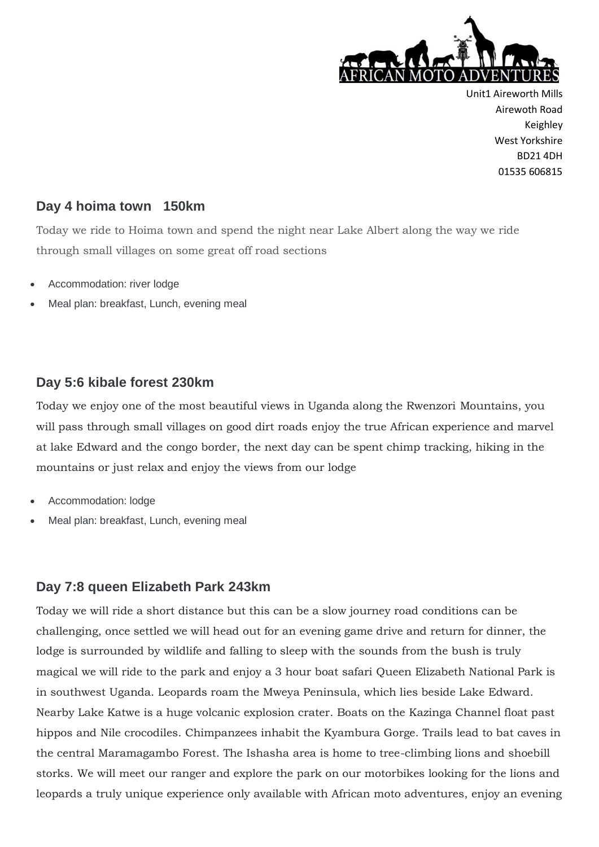

#### **Day 4 hoima town 150km**

Today we ride to Hoima town and spend the night near Lake Albert along the way we ride through small villages on some great off road sections

- Accommodation: river lodge
- Meal plan: breakfast, Lunch, evening meal

#### **Day 5:6 kibale forest 230km**

Today we enjoy one of the most beautiful views in Uganda along the Rwenzori Mountains, you will pass through small villages on good dirt roads enjoy the true African experience and marvel at lake Edward and the congo border, the next day can be spent chimp tracking, hiking in the mountains or just relax and enjoy the views from our lodge

- Accommodation: lodge
- Meal plan: breakfast, Lunch, evening meal

#### **Day 7:8 queen Elizabeth Park 243km**

Today we will ride a short distance but this can be a slow journey road conditions can be challenging, once settled we will head out for an evening game drive and return for dinner, the lodge is surrounded by wildlife and falling to sleep with the sounds from the bush is truly magical we will ride to the park and enjoy a 3 hour boat safari Queen Elizabeth National Park is in southwest Uganda. Leopards roam the Mweya Peninsula, which lies beside Lake Edward. Nearby Lake Katwe is a huge volcanic explosion crater. Boats on the Kazinga Channel float past hippos and Nile crocodiles. Chimpanzees inhabit the Kyambura Gorge. Trails lead to bat caves in the central Maramagambo Forest. The Ishasha area is home to tree-climbing lions and shoebill storks. We will meet our ranger and explore the park on our motorbikes looking for the lions and leopards a truly unique experience only available with African moto adventures, enjoy an evening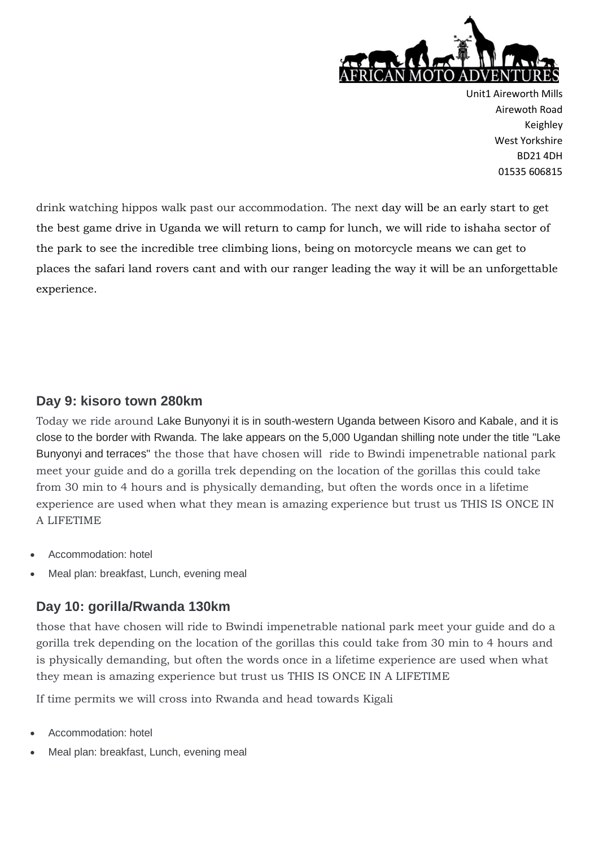

drink watching hippos walk past our accommodation. The next day will be an early start to get the best game drive in Uganda we will return to camp for lunch, we will ride to ishaha sector of the park to see the incredible tree climbing lions, being on motorcycle means we can get to places the safari land rovers cant and with our ranger leading the way it will be an unforgettable experience.

#### **Day 9: kisoro town 280km**

Today we ride around Lake Bunyonyi it is in south-western Uganda between Kisoro and Kabale, and it is close to the border with Rwanda. The lake appears on the 5,000 Ugandan shilling note under the title "Lake Bunyonyi and terraces" the those that have chosen will ride to Bwindi impenetrable national park meet your guide and do a gorilla trek depending on the location of the gorillas this could take from 30 min to 4 hours and is physically demanding, but often the words once in a lifetime experience are used when what they mean is amazing experience but trust us THIS IS ONCE IN A LIFETIME

- Accommodation: hotel
- Meal plan: breakfast, Lunch, evening meal

#### **Day 10: gorilla/Rwanda 130km**

those that have chosen will ride to Bwindi impenetrable national park meet your guide and do a gorilla trek depending on the location of the gorillas this could take from 30 min to 4 hours and is physically demanding, but often the words once in a lifetime experience are used when what they mean is amazing experience but trust us THIS IS ONCE IN A LIFETIME

If time permits we will cross into Rwanda and head towards Kigali

- Accommodation: hotel
- Meal plan: breakfast, Lunch, evening meal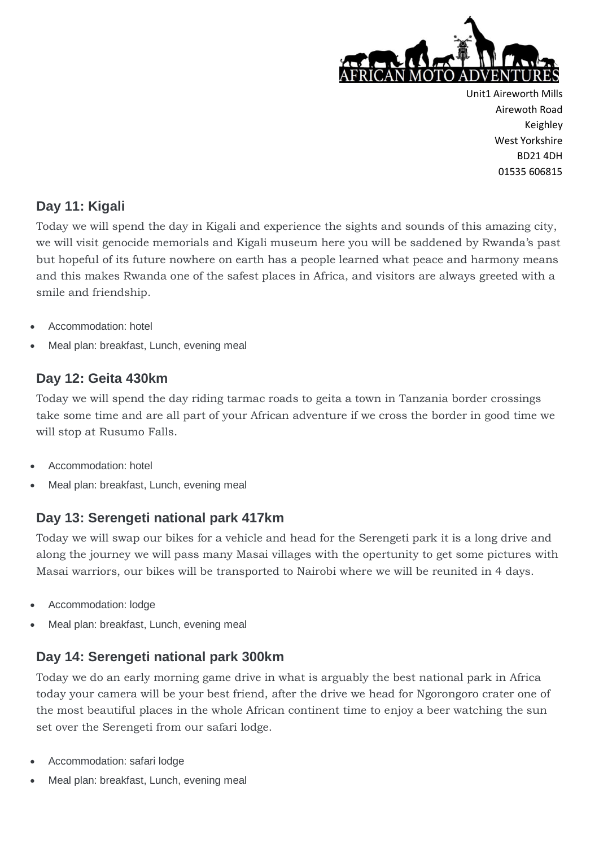

# **Day 11: Kigali**

Today we will spend the day in Kigali and experience the sights and sounds of this amazing city, we will visit genocide memorials and Kigali museum here you will be saddened by Rwanda's past but hopeful of its future nowhere on earth has a people learned what peace and harmony means and this makes Rwanda one of the safest places in Africa, and visitors are always greeted with a smile and friendship.

- Accommodation: hotel
- Meal plan: breakfast, Lunch, evening meal

# **Day 12: Geita 430km**

Today we will spend the day riding tarmac roads to geita a town in Tanzania border crossings take some time and are all part of your African adventure if we cross the border in good time we will stop at Rusumo Falls.

- Accommodation: hotel
- Meal plan: breakfast, Lunch, evening meal

# **Day 13: Serengeti national park 417km**

Today we will swap our bikes for a vehicle and head for the Serengeti park it is a long drive and along the journey we will pass many Masai villages with the opertunity to get some pictures with Masai warriors, our bikes will be transported to Nairobi where we will be reunited in 4 days.

- Accommodation: lodge
- Meal plan: breakfast, Lunch, evening meal

# **Day 14: Serengeti national park 300km**

Today we do an early morning game drive in what is arguably the best national park in Africa today your camera will be your best friend, after the drive we head for Ngorongoro crater one of the most beautiful places in the whole African continent time to enjoy a beer watching the sun set over the Serengeti from our safari lodge.

- Accommodation: safari lodge
- Meal plan: breakfast, Lunch, evening meal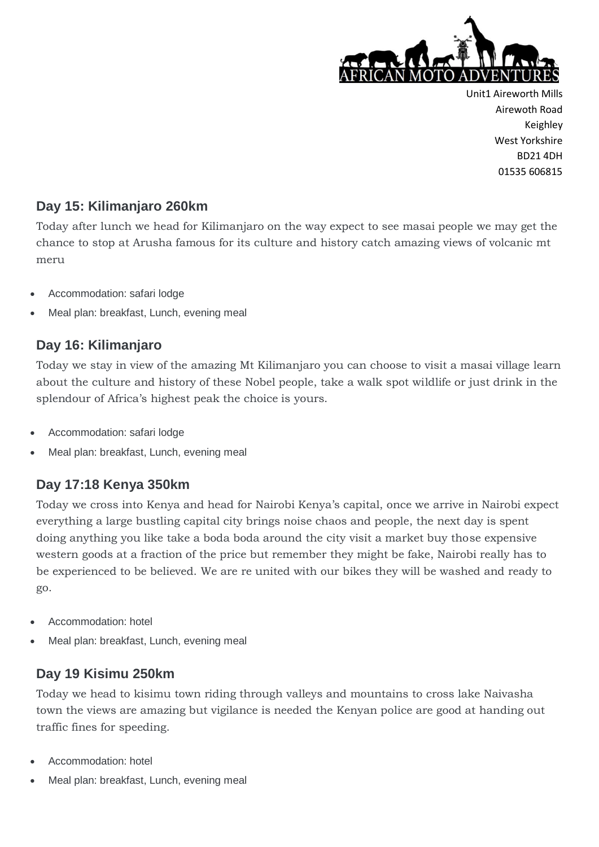

#### **Day 15: Kilimanjaro 260km**

Today after lunch we head for Kilimanjaro on the way expect to see masai people we may get the chance to stop at Arusha famous for its culture and history catch amazing views of volcanic mt meru

- Accommodation: safari lodge
- Meal plan: breakfast, Lunch, evening meal

# **Day 16: Kilimanjaro**

Today we stay in view of the amazing Mt Kilimanjaro you can choose to visit a masai village learn about the culture and history of these Nobel people, take a walk spot wildlife or just drink in the splendour of Africa's highest peak the choice is yours.

- Accommodation: safari lodge
- Meal plan: breakfast, Lunch, evening meal

# **Day 17:18 Kenya 350km**

Today we cross into Kenya and head for Nairobi Kenya's capital, once we arrive in Nairobi expect everything a large bustling capital city brings noise chaos and people, the next day is spent doing anything you like take a boda boda around the city visit a market buy those expensive western goods at a fraction of the price but remember they might be fake, Nairobi really has to be experienced to be believed. We are re united with our bikes they will be washed and ready to go.

- Accommodation: hotel
- Meal plan: breakfast, Lunch, evening meal

# **Day 19 Kisimu 250km**

Today we head to kisimu town riding through valleys and mountains to cross lake Naivasha town the views are amazing but vigilance is needed the Kenyan police are good at handing out traffic fines for speeding.

- Accommodation: hotel
- Meal plan: breakfast, Lunch, evening meal